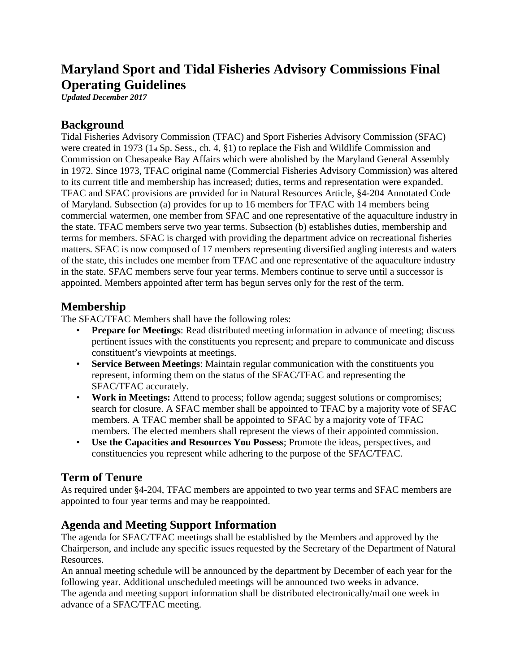# **Maryland Sport and Tidal Fisheries Advisory Commissions Final Operating Guidelines**

*Updated December 2017*

#### **Background**

Tidal Fisheries Advisory Commission (TFAC) and Sport Fisheries Advisory Commission (SFAC) were created in 1973 (1st Sp. Sess., ch. 4, §1) to replace the Fish and Wildlife Commission and Commission on Chesapeake Bay Affairs which were abolished by the Maryland General Assembly in 1972. Since 1973, TFAC original name (Commercial Fisheries Advisory Commission) was altered to its current title and membership has increased; duties, terms and representation were expanded. TFAC and SFAC provisions are provided for in Natural Resources Article, §4-204 Annotated Code of Maryland. Subsection (a) provides for up to 16 members for TFAC with 14 members being commercial watermen, one member from SFAC and one representative of the aquaculture industry in the state. TFAC members serve two year terms. Subsection (b) establishes duties, membership and terms for members. SFAC is charged with providing the department advice on recreational fisheries matters. SFAC is now composed of 17 members representing diversified angling interests and waters of the state, this includes one member from TFAC and one representative of the aquaculture industry in the state. SFAC members serve four year terms. Members continue to serve until a successor is appointed. Members appointed after term has begun serves only for the rest of the term.

## **Membership**

The SFAC/TFAC Members shall have the following roles:

- **Prepare for Meetings:** Read distributed meeting information in advance of meeting; discuss pertinent issues with the constituents you represent; and prepare to communicate and discuss constituent's viewpoints at meetings.
- **Service Between Meetings**: Maintain regular communication with the constituents you represent, informing them on the status of the SFAC/TFAC and representing the SFAC/TFAC accurately.
- **Work in Meetings:** Attend to process; follow agenda; suggest solutions or compromises; search for closure. A SFAC member shall be appointed to TFAC by a majority vote of SFAC members. A TFAC member shall be appointed to SFAC by a majority vote of TFAC members. The elected members shall represent the views of their appointed commission.
- **Use the Capacities and Resources You Possess**; Promote the ideas, perspectives, and constituencies you represent while adhering to the purpose of the SFAC/TFAC.

## **Term of Tenure**

As required under §4-204, TFAC members are appointed to two year terms and SFAC members are appointed to four year terms and may be reappointed.

## **Agenda and Meeting Support Information**

The agenda for SFAC/TFAC meetings shall be established by the Members and approved by the Chairperson, and include any specific issues requested by the Secretary of the Department of Natural Resources.

An annual meeting schedule will be announced by the department by December of each year for the following year. Additional unscheduled meetings will be announced two weeks in advance.

The agenda and meeting support information shall be distributed electronically/mail one week in advance of a SFAC/TFAC meeting.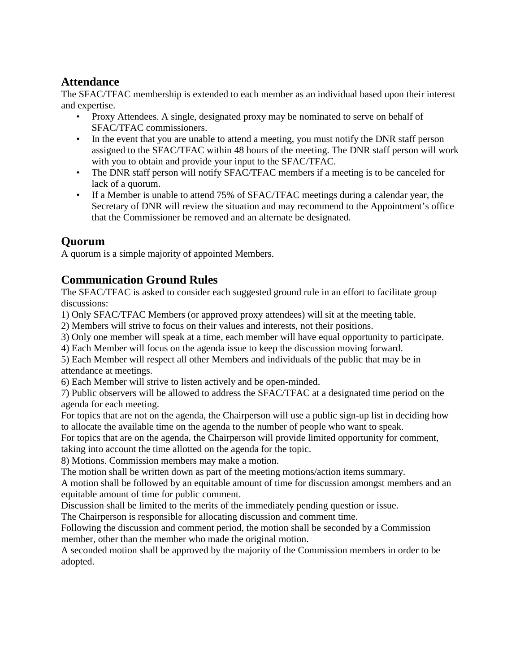## **Attendance**

The SFAC/TFAC membership is extended to each member as an individual based upon their interest and expertise.

- Proxy Attendees. A single, designated proxy may be nominated to serve on behalf of SFAC/TFAC commissioners.
- In the event that you are unable to attend a meeting, you must notify the DNR staff person assigned to the SFAC/TFAC within 48 hours of the meeting. The DNR staff person will work with you to obtain and provide your input to the SFAC/TFAC.
- The DNR staff person will notify SFAC/TFAC members if a meeting is to be canceled for lack of a quorum.
- If a Member is unable to attend 75% of SFAC/TFAC meetings during a calendar year, the Secretary of DNR will review the situation and may recommend to the Appointment's office that the Commissioner be removed and an alternate be designated.

# **Quorum**

A quorum is a simple majority of appointed Members.

## **Communication Ground Rules**

The SFAC/TFAC is asked to consider each suggested ground rule in an effort to facilitate group discussions:

1) Only SFAC/TFAC Members (or approved proxy attendees) will sit at the meeting table.

2) Members will strive to focus on their values and interests, not their positions.

3) Only one member will speak at a time, each member will have equal opportunity to participate.

4) Each Member will focus on the agenda issue to keep the discussion moving forward.

5) Each Member will respect all other Members and individuals of the public that may be in attendance at meetings.

6) Each Member will strive to listen actively and be open-minded.

7) Public observers will be allowed to address the SFAC/TFAC at a designated time period on the agenda for each meeting.

For topics that are not on the agenda, the Chairperson will use a public sign-up list in deciding how to allocate the available time on the agenda to the number of people who want to speak.

For topics that are on the agenda, the Chairperson will provide limited opportunity for comment, taking into account the time allotted on the agenda for the topic.

8) Motions. Commission members may make a motion.

The motion shall be written down as part of the meeting motions/action items summary.

A motion shall be followed by an equitable amount of time for discussion amongst members and an equitable amount of time for public comment.

Discussion shall be limited to the merits of the immediately pending question or issue.

The Chairperson is responsible for allocating discussion and comment time.

Following the discussion and comment period, the motion shall be seconded by a Commission member, other than the member who made the original motion.

A seconded motion shall be approved by the majority of the Commission members in order to be adopted.